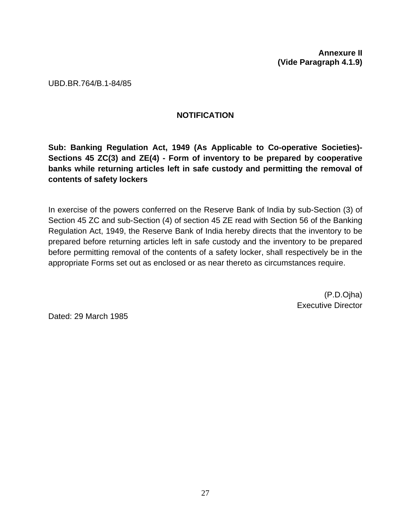**Annexure II (Vide Paragraph 4.1.9)** 

UBD.BR.764/B.1-84/85

## **NOTIFICATION**

**Sub: Banking Regulation Act, 1949 (As Applicable to Co-operative Societies)- Sections 45 ZC(3) and ZE(4) - Form of inventory to be prepared by cooperative banks while returning articles left in safe custody and permitting the removal of contents of safety lockers** 

In exercise of the powers conferred on the Reserve Bank of India by sub-Section (3) of Section 45 ZC and sub-Section (4) of section 45 ZE read with Section 56 of the Banking Regulation Act, 1949, the Reserve Bank of India hereby directs that the inventory to be prepared before returning articles left in safe custody and the inventory to be prepared before permitting removal of the contents of a safety locker, shall respectively be in the appropriate Forms set out as enclosed or as near thereto as circumstances require.

> (P.D.Ojha) Executive Director

Dated: 29 March 1985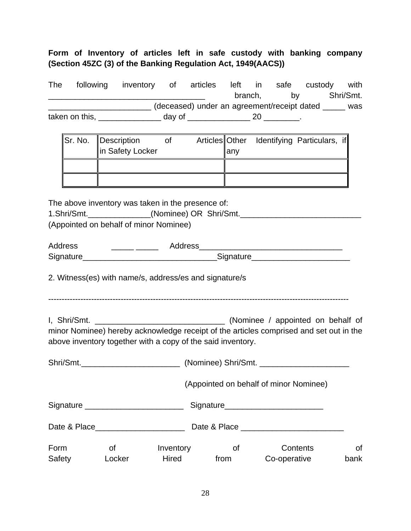## **Form of Inventory of articles left in safe custody with banking company (Section 45ZC (3) of the Banking Regulation Act, 1949(AACS))**

| <b>The</b> | following      | inventory of articles |        |                                             | left in | safe | custody | with      |
|------------|----------------|-----------------------|--------|---------------------------------------------|---------|------|---------|-----------|
|            |                |                       |        |                                             | branch, | bv   |         | Shri/Smt. |
|            |                |                       |        | (deceased) under an agreement/receipt dated |         |      |         | was       |
|            | taken on this, |                       | dav of |                                             |         |      |         |           |

| Sr. No.   Description | Οt |      | Articles Other Identifying Particulars, if |  |
|-----------------------|----|------|--------------------------------------------|--|
| in Safety Locker      |    | lanv |                                            |  |
|                       |    |      |                                            |  |
|                       |    |      |                                            |  |

The above inventory was taken in the presence of:

| 1.Shri/Smt.                            | (Nominee) OR Shri/Smt. |  |
|----------------------------------------|------------------------|--|
| (Appointed on behalf of minor Nominee) |                        |  |

| Address   | Address   |
|-----------|-----------|
| Signature | Signature |

2. Witness(es) with name/s, address/es and signature/s

----------------------------------------------------------------------------------------------------------------

I, Shri/Smt. \_\_\_\_\_\_\_\_\_\_\_\_\_\_\_\_\_\_\_\_\_\_\_\_\_\_\_\_\_ (Nominee / appointed on behalf of minor Nominee) hereby acknowledge receipt of the articles comprised and set out in the above inventory together with a copy of the said inventory.

| Shri/Smt._________________________ |              |                    | (Nominee) Shri/Smt. |                                        |                   |  |  |
|------------------------------------|--------------|--------------------|---------------------|----------------------------------------|-------------------|--|--|
|                                    |              |                    |                     | (Appointed on behalf of minor Nominee) |                   |  |  |
|                                    |              |                    | Signature Signature |                                        |                   |  |  |
| Date & Place <b>Example 20</b>     |              |                    |                     |                                        |                   |  |  |
| Form<br>Safety                     | οf<br>Locker | Inventory<br>Hired | Οf<br>from          | Contents<br>Co-operative               | <b>of</b><br>bank |  |  |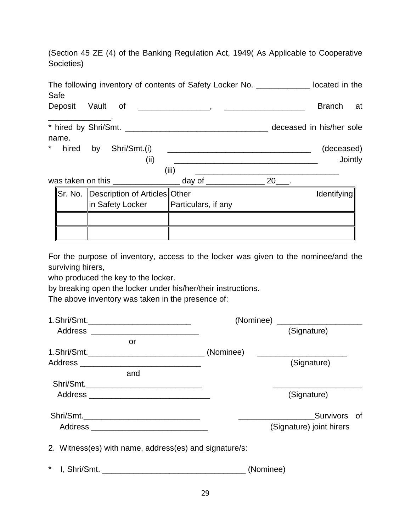(Section 45 ZE (4) of the Banking Regulation Act, 1949( As Applicable to Cooperative Societies)

| Safe             |                       |                                                   | The following inventory of contents of Safety Locker No. _____________ located in the |                          |
|------------------|-----------------------|---------------------------------------------------|---------------------------------------------------------------------------------------|--------------------------|
| Deposit Vault of |                       |                                                   |                                                                                       | <b>Branch</b><br>at      |
| name.            |                       |                                                   |                                                                                       | deceased in his/her sole |
|                  |                       |                                                   |                                                                                       |                          |
| *                | hired by Shri/Smt.(i) |                                                   |                                                                                       | (deceased)               |
|                  |                       | (ii)                                              |                                                                                       | Jointly                  |
|                  |                       |                                                   | (iii)                                                                                 |                          |
|                  |                       |                                                   | was taken on this ________________________ day of _____________________ 20____.       |                          |
|                  |                       | <u> Sr. No.</u>   Description of Articles   Other |                                                                                       | Identifying              |
|                  | ∥in Safety Locker     |                                                   | Particulars, if any                                                                   |                          |
|                  |                       |                                                   |                                                                                       |                          |
|                  |                       |                                                   |                                                                                       |                          |

For the purpose of inventory, access to the locker was given to the nominee/and the surviving hirers,

who produced the key to the locker.

by breaking open the locker under his/her/their instructions.

The above inventory was taken in the presence of:

|                                                        | (Nominee) ______________________ |                          |  |  |  |
|--------------------------------------------------------|----------------------------------|--------------------------|--|--|--|
| Address __________________________                     |                                  | (Signature)              |  |  |  |
| or                                                     |                                  |                          |  |  |  |
|                                                        |                                  |                          |  |  |  |
|                                                        |                                  | (Signature)              |  |  |  |
| and                                                    |                                  |                          |  |  |  |
|                                                        |                                  |                          |  |  |  |
|                                                        |                                  | (Signature)              |  |  |  |
| Shri/Smt.___________________________________           |                                  | Survivors of             |  |  |  |
|                                                        |                                  | (Signature) joint hirers |  |  |  |
| 2. Witness(es) with name, address(es) and signature/s: |                                  |                          |  |  |  |
|                                                        | (Nominee)                        |                          |  |  |  |